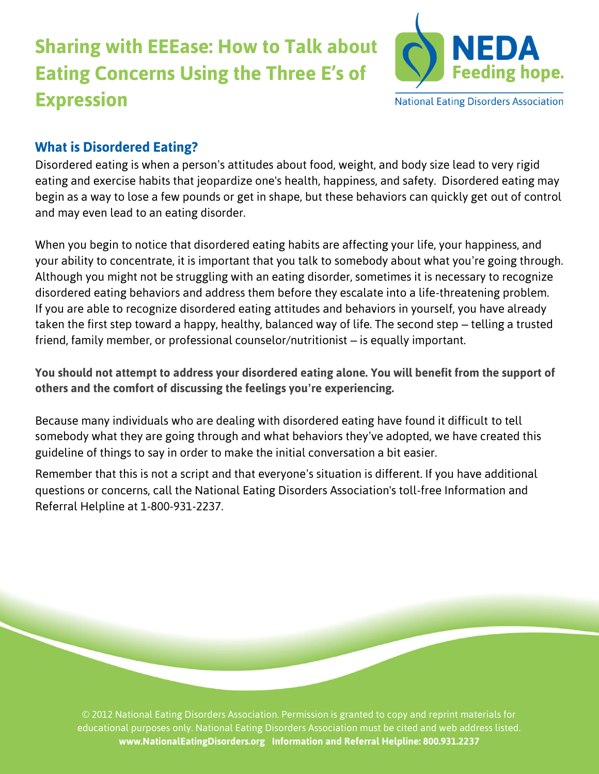# **Sharing with EEEase: How to Talk about Eating Concerns Using the Three E's of Expression**



**National Eating Disorders Association** 

## **What is Disordered Eating?**

Disordered eating is when a person's attitudes about food, weight, and body size lead to very rigid eating and exercise habits that jeopardize one's health, happiness, and safety. Disordered eating may begin as a way to lose a few pounds or get in shape, but these behaviors can quickly get out of control and may even lead to an eating disorder.

When you begin to notice that disordered eating habits are affecting your life, your happiness, and your ability to concentrate, it is important that you talk to somebody about what you're going through. Although you might not be struggling with an eating disorder, sometimes it is necessary to recognize disordered eating behaviors and address them before they escalate into a life-threatening problem. If you are able to recognize disordered eating attitudes and behaviors in yourself, you have already taken the first step toward a happy, healthy, balanced way of life. The second step – telling a trusted friend, family member, or professional counselor/nutritionist – is equally important.

**You should not attempt to address your disordered eating alone. You will benefit from the support of others and the comfort of discussing the feelings you're experiencing.**

Because many individuals who are dealing with disordered eating have found it difficult to tell somebody what they are going through and what behaviors they've adopted, we have created this guideline of things to say in order to make the initial conversation a bit easier.

Remember that this is not a script and that everyone's situation is different. If you have additional questions or concerns, call the National Eating Disorders Association's toll-free Information and Referral Helpline at 1-800-931-2237.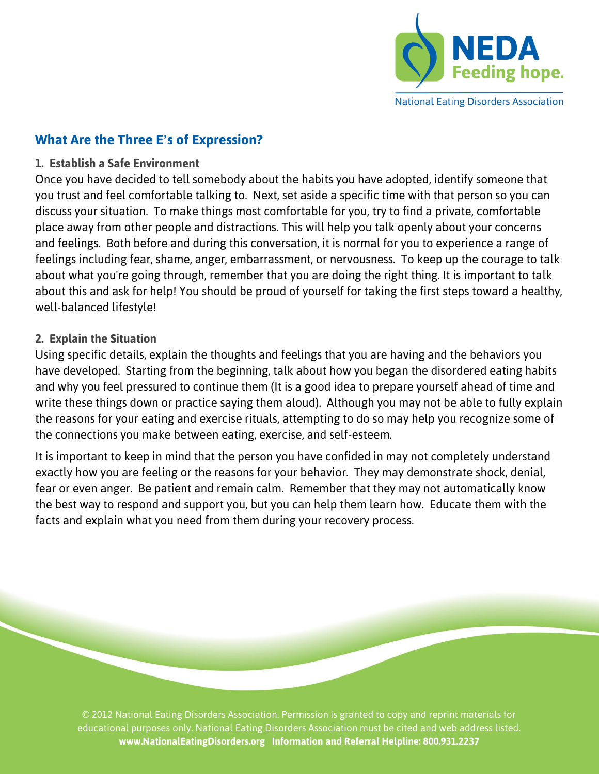

## **What Are the Three E's of Expression?**

#### **1. Establish a Safe Environment**

Once you have decided to tell somebody about the habits you have adopted, identify someone that you trust and feel comfortable talking to. Next, set aside a specific time with that person so you can discuss your situation. To make things most comfortable for you, try to find a private, comfortable place away from other people and distractions. This will help you talk openly about your concerns and feelings. Both before and during this conversation, it is normal for you to experience a range of feelings including fear, shame, anger, embarrassment, or nervousness. To keep up the courage to talk about what you're going through, remember that you are doing the right thing. It is important to talk about this and ask for help! You should be proud of yourself for taking the first steps toward a healthy, well-balanced lifestyle!

#### **2. Explain the Situation**

Using specific details, explain the thoughts and feelings that you are having and the behaviors you have developed. Starting from the beginning, talk about how you began the disordered eating habits and why you feel pressured to continue them (It is a good idea to prepare yourself ahead of time and write these things down or practice saying them aloud). Although you may not be able to fully explain the reasons for your eating and exercise rituals, attempting to do so may help you recognize some of the connections you make between eating, exercise, and self-esteem.

It is important to keep in mind that the person you have confided in may not completely understand exactly how you are feeling or the reasons for your behavior. They may demonstrate shock, denial, fear or even anger. Be patient and remain calm. Remember that they may not automatically know the best way to respond and support you, but you can help them learn how. Educate them with the facts and explain what you need from them during your recovery process.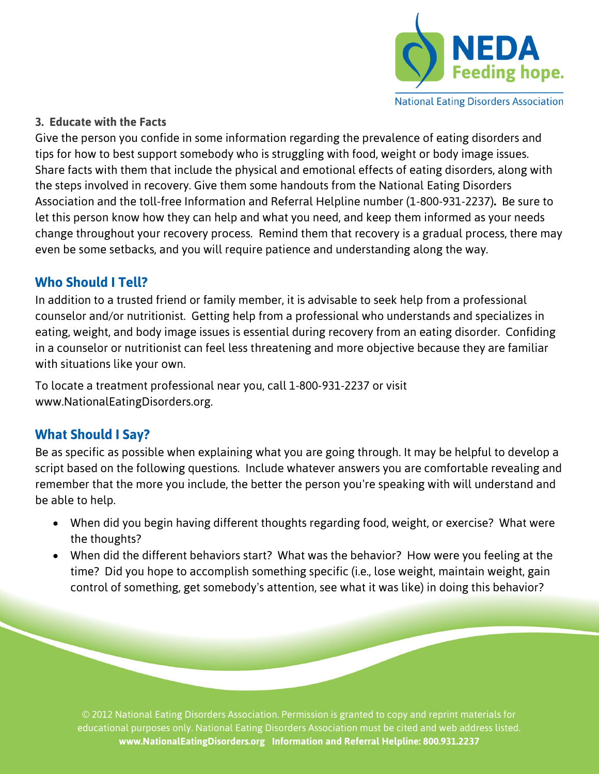

#### **National Eating Disorders Association**

#### **3. Educate with the Facts**

Give the person you confide in some information regarding the prevalence of eating disorders and tips for how to best support somebody who is struggling with food, weight or body image issues. Share facts with them that include the physical and emotional effects of eating disorders, along with the steps involved in recovery. Give them some handouts from the National Eating Disorders Association and the toll-free Information and Referral Helpline number (1-800-931-2237)**.** Be sure to let this person know how they can help and what you need, and keep them informed as your needs change throughout your recovery process. Remind them that recovery is a gradual process, there may even be some setbacks, and you will require patience and understanding along the way.

### **Who Should I Tell?**

In addition to a trusted friend or family member, it is advisable to seek help from a professional counselor and/or nutritionist. Getting help from a professional who understands and specializes in eating, weight, and body image issues is essential during recovery from an eating disorder. Confiding in a counselor or nutritionist can feel less threatening and more objective because they are familiar with situations like your own.

To locate a treatment professional near you, call 1-800-931-2237 or visit www.NationalEatingDisorders.org.

## **What Should I Say?**

Be as specific as possible when explaining what you are going through. It may be helpful to develop a script based on the following questions. Include whatever answers you are comfortable revealing and remember that the more you include, the better the person you're speaking with will understand and be able to help.

- When did you begin having different thoughts regarding food, weight, or exercise? What were the thoughts?
- When did the different behaviors start? What was the behavior? How were you feeling at the time? Did you hope to accomplish something specific (i.e., lose weight, maintain weight, gain control of something, get somebody's attention, see what it was like) in doing this behavior?